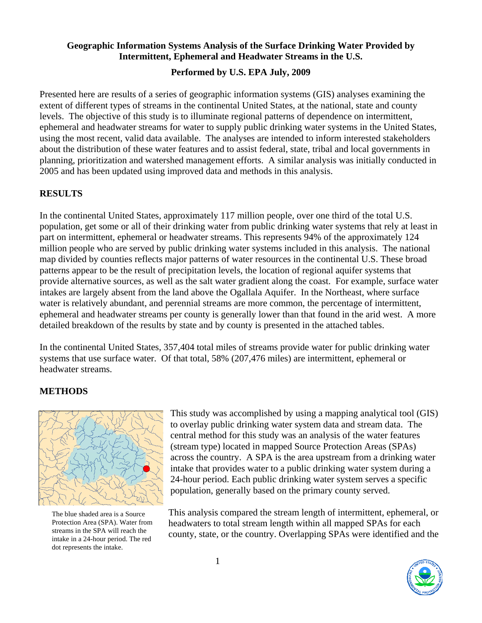### **Geographic Information Systems Analysis of the Surface Drinking Water Provided by Intermittent, Ephemeral and Headwater Streams in the U.S.**

### **Performed by U.S. EPA July, 2009**

Presented here are results of a series of geographic information systems (GIS) analyses examining the extent of different types of streams in the continental United States, at the national, state and county levels. The objective of this study is to illuminate regional patterns of dependence on intermittent, ephemeral and headwater streams for water to supply public drinking water systems in the United States, using the most recent, valid data available. The analyses are intended to inform interested stakeholders about the distribution of these water features and to assist federal, state, tribal and local governments in planning, prioritization and watershed management efforts. A similar analysis was initially conducted in 2005 and has been updated using improved data and methods in this analysis.

#### **RESULTS**

In the continental United States, approximately 117 million people, over one third of the total U.S. population, get some or all of their drinking water from public drinking water systems that rely at least in part on intermittent, ephemeral or headwater streams. This represents 94% of the approximately 124 million people who are served by public drinking water systems included in this analysis. The national map divided by counties reflects major patterns of water resources in the continental U.S. These broad patterns appear to be the result of precipitation levels, the location of regional aquifer systems that provide alternative sources, as well as the salt water gradient along the coast. For example, surface water intakes are largely absent from the land above the Ogallala Aquifer. In the Northeast, where surface water is relatively abundant, and perennial streams are more common, the percentage of intermittent, ephemeral and headwater streams per county is generally lower than that found in the arid west. A more detailed breakdown of the results by state and by county is presented in the attached tables.

In the continental United States, 357,404 total miles of streams provide water for public drinking water systems that use surface water. Of that total, 58% (207,476 miles) are intermittent, ephemeral or headwater streams.

### **METHODS**



The blue shaded area is a Source Protection Area (SPA). Water from streams in the SPA will reach the intake in a 24-hour period. The red dot represents the intake.

This study was accomplished by using a mapping analytical tool (GIS) to overlay public drinking water system data and stream data. The central method for this study was an analysis of the water features (stream type) located in mapped Source Protection Areas (SPAs) across the country. A SPA is the area upstream from a drinking water intake that provides water to a public drinking water system during a 24-hour period. Each public drinking water system serves a specific population, generally based on the primary county served.

This analysis compared the stream length of intermittent, ephemeral, or headwaters to total stream length within all mapped SPAs for each county, state, or the country. Overlapping SPAs were identified and the